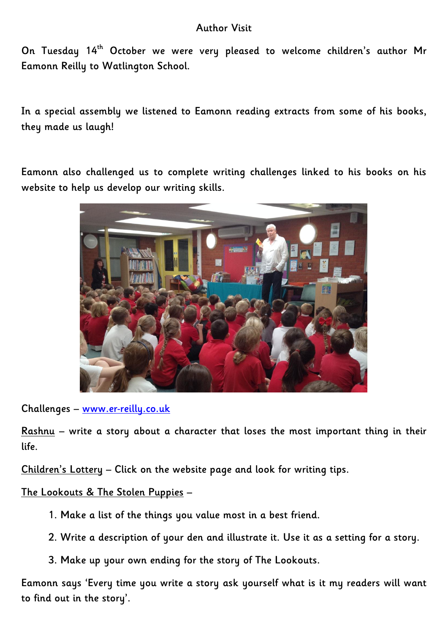## **Author Visit**

**On Tuesday 14th October we were very pleased to welcome children's author Mr Eamonn Reilly to Watlington School.**

**In a special assembly we listened to Eamonn reading extracts from some of his books, they made us laugh!**

**Eamonn also challenged us to complete writing challenges linked to his books on his website to help us develop our writing skills.**



**Challenges – [www.er-reilly.co.uk](http://www.er-reilly.co.uk/)**

**Rashnu – write a story about a character that loses the most important thing in their life.**

**Children's Lottery – Click on the website page and look for writing tips.**

**The Lookouts & The Stolen Puppies –**

- **1. Make a list of the things you value most in a best friend.**
- **2. Write a description of your den and illustrate it. Use it as a setting for a story.**
- **3. Make up your own ending for the story of The Lookouts.**

**Eamonn says 'Every time you write a story ask yourself what is it my readers will want to find out in the story'.**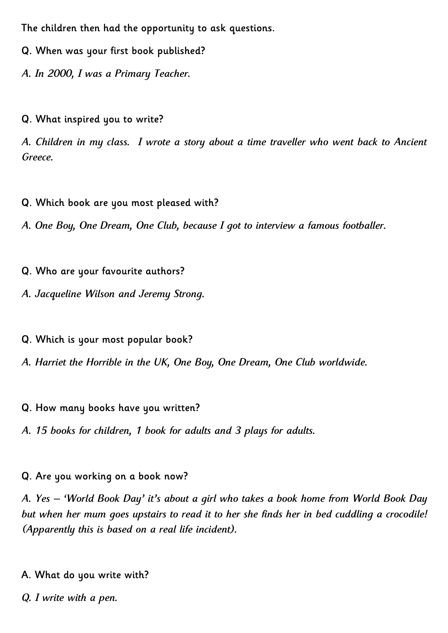**The children then had the opportunity to ask questions.**

**Q. When was your first book published?**

*A. In 2000, I was a Primary Teacher.*

**Q. What inspired you to write?**

*A. Children in my class. I wrote a story about a time traveller who went back to Ancient Greece.*

**Q. Which book are you most pleased with?**

*A. One Boy, One Dream, One Club, because I got to interview a famous footballer.*

- **Q. Who are your favourite authors?**
- *A. Jacqueline Wilson and Jeremy Strong.*
- **Q. Which is your most popular book?**
- *A. Harriet the Horrible in the UK, One Boy, One Dream, One Club worldwide.*
- **Q. How many books have you written?**
- *A. 15 books for children, 1 book for adults and 3 plays for adults.*
- **Q. Are you working on a book now?**

*A. Yes – 'World Book Day' it's about a girl who takes a book home from World Book Day but when her mum goes upstairs to read it to her she finds her in bed cuddling a crocodile! (Apparently this is based on a real life incident).*

- **A. What do you write with?**
- *Q. I write with a pen.*